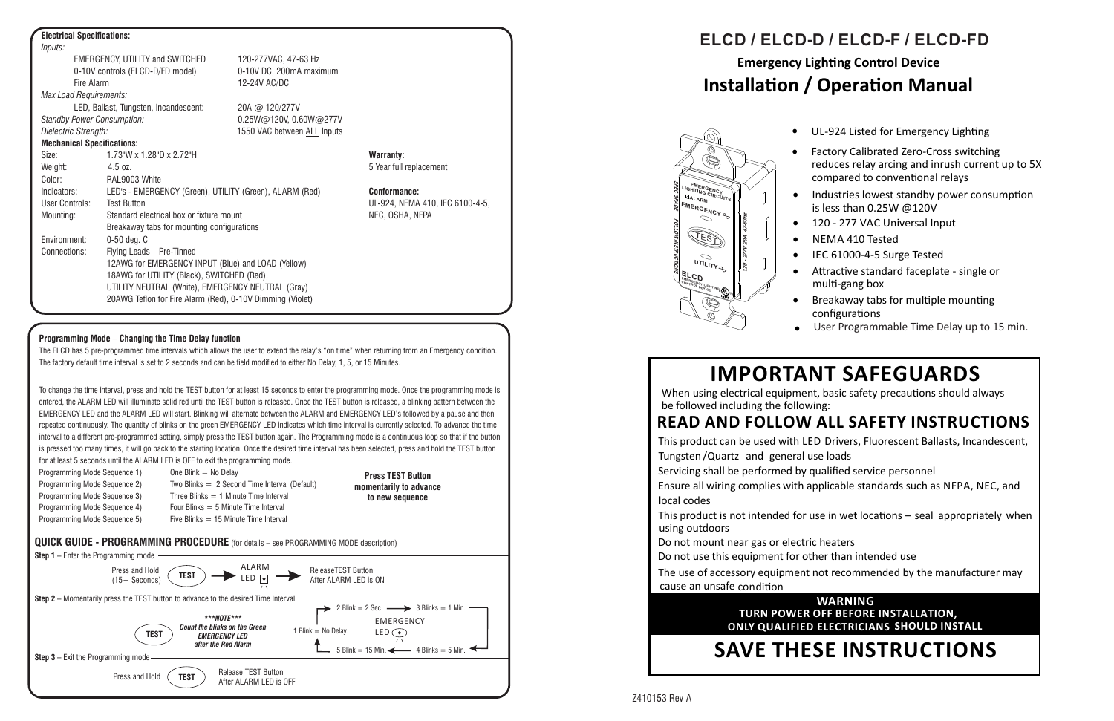# **IMPORTANT SAFEGUARDS**

When using electrical equipment, basic safety precautions should always be followed including the following:

## **READ AND FOLLOW ALL SAFETY INSTRUCTIONS**

Do not mount near gas or electric heaters Do not use this equipment for other than intended use

• Industries lowest standby power consumption is less than 0.25W @120V

• 120 - 277 VAC Universal Input

This product is not intended for use in wet locations  $-$  seal appropriately when using outdoors

cause an unsafe condition The use of accessory equipment not recommended by the manufacturer may



# **Emergency Lighting Control Device Installation / Operation Manual ELCD / ELCD-D / ELCD-F / ELCD-FD**

# **SAVE THESE INSTRUCTIONS**

This product can be used with LED Drivers, Fluorescent Ballasts, Incandescent, Tungsten/Quartz and general use loads Servicing shall be performed by qualified service personnel Ensure all wiring complies with applicable standards such as NFPA, NEC, and local codes

LED, Ballast, Tungsten, Incandescent: 20A @ 120/277V *Standby Power Consumption:* 0.25W@120V, 0.60W@277V *Dielectric Strength:* 1550 VAC between ALL Inputs

#### **Mechanical Specifications:**

Size: 1.73"W x 1.28"D x 2.72"H **Warranty:** Weight: 4.5 oz. 5 Year full replacement Color: RAL9003 White Indicators: LED's - EMERGENCY (Green), UTILITY (Green), ALARM (Red) **Conformance:** User Controls: Test Button UL-924, NEMA 410, IEC 6100-4-5, Mounting: Standard electrical box or fixture mount NEC, OSHA, NFPA Breakaway tabs for mounting configurations Environment: 0-50 deg. C Connections: Flying Leads – Pre-Tinned 12AWG for EMERGENCY INPUT (Blue) and LOAD (Yellow) 18AWG for UTILITY (Black), SWITCHED (Red), UTILITY NEUTRAL (White), EMERGENCY NEUTRAL (Gray) 20AWG Teflon for Fire Alarm (Red), 0-10V Dimming (Violet)

NEMA 410 Tested

• IEC 61000-4-5 Surge Tested

Attractive standard faceplate - single or multi-gang box

Breakaway tabs for multiple mounting

configurations

 Factory Calibrated Zero-Cross switching compared to conventional relays reduces relay arcing and inrush current up to 5X

### **WARNING ONLY QUALIFIED ELECTRICIANS SHOULD INSTALL TURN POWER OFF BEFORE INSTALLATION,**

The ELCD has 5 pre-programmed time intervals which allows the user to extend the relay's "on time" when returning from an Emergency condition. The factory default time interval is set to 2 seconds and can be field modified to either No Delay, 1, 5, or 15 Minutes.

#### **Electrical Specifications:**

*Inputs:* EMERGENCY, UTILITY and SWITCHED 120-277VAC, 47-63 Hz 0-10V controls (ELCD-D/FD model) 0-10V DC, 200mA maximum Fire Alarm 12-24V AC/DC *Max Load Requirements:*

Programming Mode Sequence 2) Two Blinks = 2 Second Time Interval (Default) Programming Mode Sequence 3) Three Blinks  $= 1$  Minute Time Interval Programming Mode Sequence 4) Four Blinks = 5 Minute Time Interval Programming Mode Sequence 5) Five Blinks = 15 Minute Time Interval

### **Programming Mode – Changing the Time Delay function**

To change the time interval, press and hold the TEST button for at least 15 seconds to enter the programming mode. Once the programming mode is entered, the ALARM LED will illuminate solid red until the TEST button is released. Once the TEST button is released, a blinking pattern between the EMERGENCY LED and the ALARM LED will start. Blinking will alternate between the ALARM and EMERGENCY LED's followed by a pause and then repeated continuously. The quantity of blinks on the green EMERGENCY LED indicates which time interval is currently selected. To advance the time interval to a different pre-programmed setting, simply press the TEST button again. The Programming mode is a continuous loop so that if the button is pressed too many times, it will go back to the starting location. Once the desired time interval has been selected, press and hold the TEST button for at least 5 seconds until the ALARM LED is OFF to exit the programming mode.

Programming Mode Sequence 1) One Blink  $=$  No Delay

**Press TEST Button momentarily to advance to new sequence**

#### **QUICK GUIDE - PROGRAMMING PROCEDURE** (for details – see PROGRAMMING MODE description)



User Programmable Time Delay up to 15 min.



# Z410153 Rev A

• UL-924 Listed for Emergency Lighting